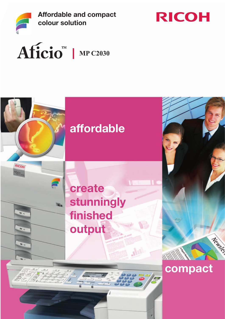

Affordable and compact colour solution





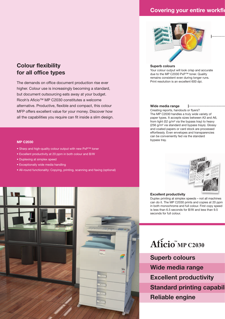### **Covering your entire workflow**



### Superb colours

Your colour output will look crisp and accurate due to the MP C2030 PxP™ toner. Quality remains consistent even during longer runs. Print resolution is an excellent 600 dpi.

### Wide media range

Creating reports, handouts or flyers? The MP C2030 handles a truly wide variety of paper types. It accepts sizes between A3 and A6, from light (52 g/m² via the bypass tray) to heavy (256 g/m² via standard and bypass trays). Glossy and coated papers or card stock are processed effortlessly. Even envelopes and transparencies can be conveniently fed via the standard bypass tray.

### MP C2030

• Sharp and high-quality colour output with new PxP™ toner

The demands on office document production rise ever higher. Colour use is increasingly becoming a standard, but document outsourcing eats away at your budget. Ricoh's Aficio™ MP C2030 constitutes a welcome

alternative. Productive, flexible and compact, this colour MFP offers excellent value for your money. Discover how all the capabilities you require can fit inside a slim design.

- Excellent productivity at 20 ppm in both colour and B/W
- Duplexing at simplex speed

Colour flexibility for all office types

- Exceptionally wide media handling
- All-round functionality: Copying, printing, scanning and faxing (optional)





### Excellent productivity

Duplex printing at simplex speeds – not all machines can do it. The MP C2030 prints and copies at 20 ppm in both monochrome and full colour. First copy speed is less than 6.5 seconds for B/W and less than 9.5 seconds for full colour.

# Aficio<sup>N</sup>MP C2030

Superb colours Wide media range Excellent productivity **Standard printing capabil** Reliable engine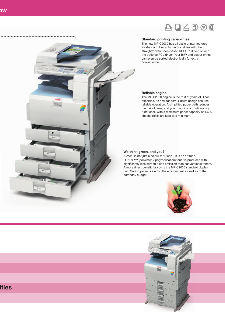

### Standard printing capabilities

The new MP C2030 has all basic printer features as standard. Enjoy its functionalities with the straightforward icon-based RPCS™ driver, or with the optional PCL driver. Your B/W and colour prints can even be sorted electronically for extra convenience.

### Reliable engine

The MP C2030 engine is the fruit of years of Ricoh expertise. Its new tandem 4-drum design ensures reliable operation. A simplified paper path reduces the risk of jams, and your machine is continuously functional. With a maximum paper capacity of 1,600 sheets, refills are kept to a minimum.

### We think green, and you?

'Green' is not just a colour for Ricoh – it is an attitude. Our PxP™ (polyester x polymerisation) toner is produced with significantly less carbon oxide emission than conventional toners. A more direct benefit for you is the MP C2030 standard duplex unit. Saving paper is kind to the environment as well as to the company budget.







### ities